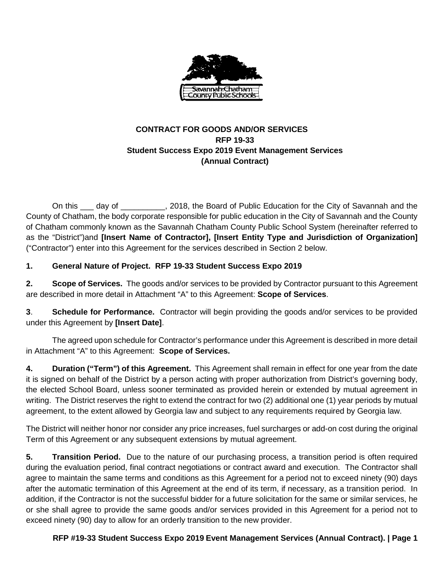

# **CONTRACT FOR GOODS AND/OR SERVICES RFP 19-33 Student Success Expo 2019 Event Management Services (Annual Contract)**

On this day of . 2018, the Board of Public Education for the City of Savannah and the County of Chatham, the body corporate responsible for public education in the City of Savannah and the County of Chatham commonly known as the Savannah Chatham County Public School System (hereinafter referred to as the "District")and **[Insert Name of Contractor], [Insert Entity Type and Jurisdiction of Organization]**  ("Contractor") enter into this Agreement for the services described in Section 2 below.

# **1. General Nature of Project. RFP 19-33 Student Success Expo 2019**

**2. Scope of Services.** The goods and/or services to be provided by Contractor pursuant to this Agreement are described in more detail in Attachment "A" to this Agreement: **Scope of Services**.

**3**. **Schedule for Performance.** Contractor will begin providing the goods and/or services to be provided under this Agreement by **[Insert Date]**.

The agreed upon schedule for Contractor's performance under this Agreement is described in more detail in Attachment "A" to this Agreement: **Scope of Services.**

**4. Duration ("Term") of this Agreement.** This Agreement shall remain in effect for one year from the date it is signed on behalf of the District by a person acting with proper authorization from District's governing body, the elected School Board, unless sooner terminated as provided herein or extended by mutual agreement in writing. The District reserves the right to extend the contract for two (2) additional one (1) year periods by mutual agreement, to the extent allowed by Georgia law and subject to any requirements required by Georgia law.

The District will neither honor nor consider any price increases, fuel surcharges or add-on cost during the original Term of this Agreement or any subsequent extensions by mutual agreement.

**5. Transition Period.** Due to the nature of our purchasing process, a transition period is often required during the evaluation period, final contract negotiations or contract award and execution. The Contractor shall agree to maintain the same terms and conditions as this Agreement for a period not to exceed ninety (90) days after the automatic termination of this Agreement at the end of its term, if necessary, as a transition period. In addition, if the Contractor is not the successful bidder for a future solicitation for the same or similar services, he or she shall agree to provide the same goods and/or services provided in this Agreement for a period not to exceed ninety (90) day to allow for an orderly transition to the new provider.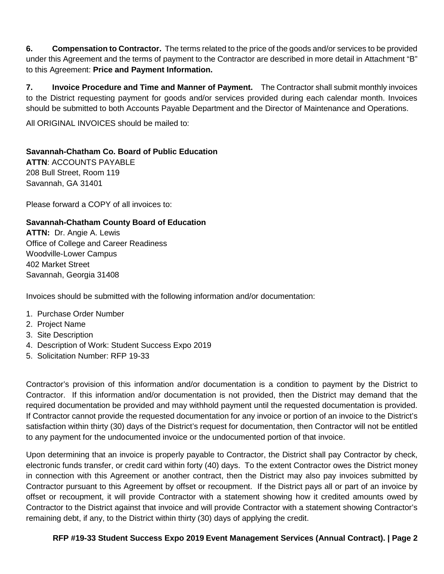**6. Compensation to Contractor.** The terms related to the price of the goods and/or services to be provided under this Agreement and the terms of payment to the Contractor are described in more detail in Attachment "B" to this Agreement: **Price and Payment Information.** 

**7. Invoice Procedure and Time and Manner of Payment.** The Contractor shall submit monthly invoices to the District requesting payment for goods and/or services provided during each calendar month. Invoices should be submitted to both Accounts Payable Department and the Director of Maintenance and Operations.

All ORIGINAL INVOICES should be mailed to:

### **Savannah-Chatham Co. Board of Public Education**

**ATTN**: ACCOUNTS PAYABLE 208 Bull Street, Room 119 Savannah, GA 31401

Please forward a COPY of all invoices to:

#### **Savannah-Chatham County Board of Education**

**ATTN:** Dr. Angie A. Lewis Office of College and Career Readiness Woodville-Lower Campus 402 Market Street Savannah, Georgia 31408

Invoices should be submitted with the following information and/or documentation:

- 1. Purchase Order Number
- 2. Project Name
- 3. Site Description
- 4. Description of Work: Student Success Expo 2019
- 5. Solicitation Number: RFP 19-33

Contractor's provision of this information and/or documentation is a condition to payment by the District to Contractor. If this information and/or documentation is not provided, then the District may demand that the required documentation be provided and may withhold payment until the requested documentation is provided. If Contractor cannot provide the requested documentation for any invoice or portion of an invoice to the District's satisfaction within thirty (30) days of the District's request for documentation, then Contractor will not be entitled to any payment for the undocumented invoice or the undocumented portion of that invoice.

Upon determining that an invoice is properly payable to Contractor, the District shall pay Contractor by check, electronic funds transfer, or credit card within forty (40) days. To the extent Contractor owes the District money in connection with this Agreement or another contract, then the District may also pay invoices submitted by Contractor pursuant to this Agreement by offset or recoupment. If the District pays all or part of an invoice by offset or recoupment, it will provide Contractor with a statement showing how it credited amounts owed by Contractor to the District against that invoice and will provide Contractor with a statement showing Contractor's remaining debt, if any, to the District within thirty (30) days of applying the credit.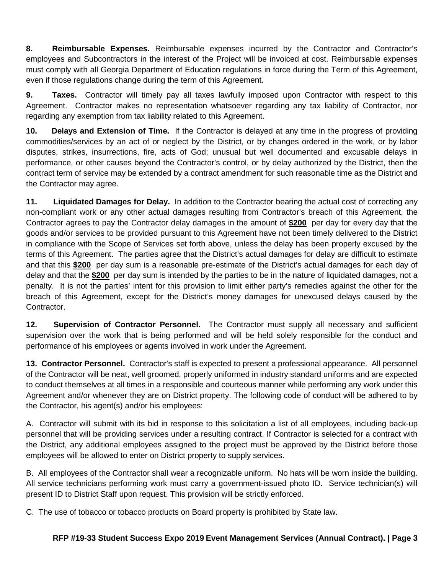**8. Reimbursable Expenses.** Reimbursable expenses incurred by the Contractor and Contractor's employees and Subcontractors in the interest of the Project will be invoiced at cost. Reimbursable expenses must comply with all Georgia Department of Education regulations in force during the Term of this Agreement, even if those regulations change during the term of this Agreement.

**9. Taxes.** Contractor will timely pay all taxes lawfully imposed upon Contractor with respect to this Agreement. Contractor makes no representation whatsoever regarding any tax liability of Contractor, nor regarding any exemption from tax liability related to this Agreement.

**10. Delays and Extension of Time.** If the Contractor is delayed at any time in the progress of providing commodities/services by an act of or neglect by the District, or by changes ordered in the work, or by labor disputes, strikes, insurrections, fire, acts of God; unusual but well documented and excusable delays in performance, or other causes beyond the Contractor's control, or by delay authorized by the District, then the contract term of service may be extended by a contract amendment for such reasonable time as the District and the Contractor may agree.

**11. Liquidated Damages for Delay.** In addition to the Contractor bearing the actual cost of correcting any non-compliant work or any other actual damages resulting from Contractor's breach of this Agreement, the Contractor agrees to pay the Contractor delay damages in the amount of **\$200** per day for every day that the goods and/or services to be provided pursuant to this Agreement have not been timely delivered to the District in compliance with the Scope of Services set forth above, unless the delay has been properly excused by the terms of this Agreement. The parties agree that the District's actual damages for delay are difficult to estimate and that this **\$200** per day sum is a reasonable pre-estimate of the District's actual damages for each day of delay and that the **\$200** per day sum is intended by the parties to be in the nature of liquidated damages, not a penalty. It is not the parties' intent for this provision to limit either party's remedies against the other for the breach of this Agreement, except for the District's money damages for unexcused delays caused by the Contractor.

**12. Supervision of Contractor Personnel.** The Contractor must supply all necessary and sufficient supervision over the work that is being performed and will be held solely responsible for the conduct and performance of his employees or agents involved in work under the Agreement.

**13. Contractor Personnel.** Contractor's staff is expected to present a professional appearance. All personnel of the Contractor will be neat, well groomed, properly uniformed in industry standard uniforms and are expected to conduct themselves at all times in a responsible and courteous manner while performing any work under this Agreement and/or whenever they are on District property. The following code of conduct will be adhered to by the Contractor, his agent(s) and/or his employees:

A. Contractor will submit with its bid in response to this solicitation a list of all employees, including back-up personnel that will be providing services under a resulting contract. If Contractor is selected for a contract with the District, any additional employees assigned to the project must be approved by the District before those employees will be allowed to enter on District property to supply services.

B. All employees of the Contractor shall wear a recognizable uniform. No hats will be worn inside the building. All service technicians performing work must carry a government-issued photo ID. Service technician(s) will present ID to District Staff upon request. This provision will be strictly enforced.

C. The use of tobacco or tobacco products on Board property is prohibited by State law.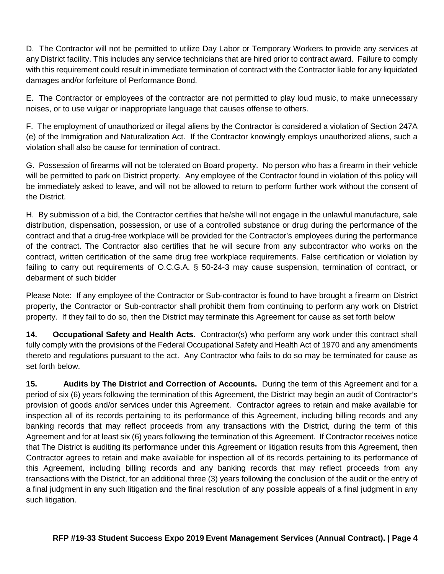D. The Contractor will not be permitted to utilize Day Labor or Temporary Workers to provide any services at any District facility. This includes any service technicians that are hired prior to contract award. Failure to comply with this requirement could result in immediate termination of contract with the Contractor liable for any liquidated damages and/or forfeiture of Performance Bond.

E. The Contractor or employees of the contractor are not permitted to play loud music, to make unnecessary noises, or to use vulgar or inappropriate language that causes offense to others.

F. The employment of unauthorized or illegal aliens by the Contractor is considered a violation of Section 247A (e) of the Immigration and Naturalization Act. If the Contractor knowingly employs unauthorized aliens, such a violation shall also be cause for termination of contract.

G. Possession of firearms will not be tolerated on Board property. No person who has a firearm in their vehicle will be permitted to park on District property. Any employee of the Contractor found in violation of this policy will be immediately asked to leave, and will not be allowed to return to perform further work without the consent of the District.

H. By submission of a bid, the Contractor certifies that he/she will not engage in the unlawful manufacture, sale distribution, dispensation, possession, or use of a controlled substance or drug during the performance of the contract and that a drug-free workplace will be provided for the Contractor's employees during the performance of the contract. The Contractor also certifies that he will secure from any subcontractor who works on the contract, written certification of the same drug free workplace requirements. False certification or violation by failing to carry out requirements of O.C.G.A. § 50-24-3 may cause suspension, termination of contract, or debarment of such bidder

Please Note: If any employee of the Contractor or Sub-contractor is found to have brought a firearm on District property, the Contractor or Sub-contractor shall prohibit them from continuing to perform any work on District property. If they fail to do so, then the District may terminate this Agreement for cause as set forth below

**14. Occupational Safety and Health Acts.** Contractor(s) who perform any work under this contract shall fully comply with the provisions of the Federal Occupational Safety and Health Act of 1970 and any amendments thereto and regulations pursuant to the act. Any Contractor who fails to do so may be terminated for cause as set forth below.

**15. Audits by The District and Correction of Accounts.** During the term of this Agreement and for a period of six (6) years following the termination of this Agreement, the District may begin an audit of Contractor's provision of goods and/or services under this Agreement. Contractor agrees to retain and make available for inspection all of its records pertaining to its performance of this Agreement, including billing records and any banking records that may reflect proceeds from any transactions with the District, during the term of this Agreement and for at least six (6) years following the termination of this Agreement. If Contractor receives notice that The District is auditing its performance under this Agreement or litigation results from this Agreement, then Contractor agrees to retain and make available for inspection all of its records pertaining to its performance of this Agreement, including billing records and any banking records that may reflect proceeds from any transactions with the District, for an additional three (3) years following the conclusion of the audit or the entry of a final judgment in any such litigation and the final resolution of any possible appeals of a final judgment in any such litigation.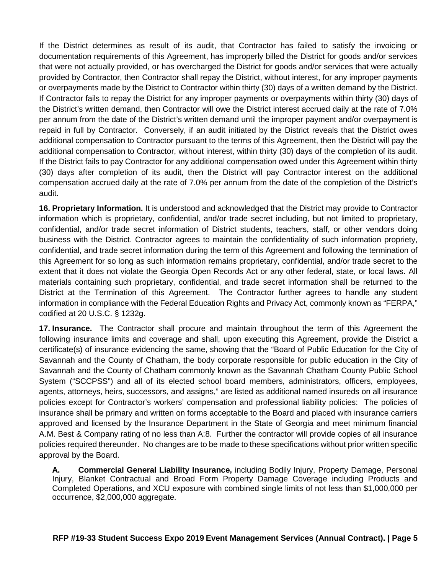If the District determines as result of its audit, that Contractor has failed to satisfy the invoicing or documentation requirements of this Agreement, has improperly billed the District for goods and/or services that were not actually provided, or has overcharged the District for goods and/or services that were actually provided by Contractor, then Contractor shall repay the District, without interest, for any improper payments or overpayments made by the District to Contractor within thirty (30) days of a written demand by the District. If Contractor fails to repay the District for any improper payments or overpayments within thirty (30) days of the District's written demand, then Contractor will owe the District interest accrued daily at the rate of 7.0% per annum from the date of the District's written demand until the improper payment and/or overpayment is repaid in full by Contractor. Conversely, if an audit initiated by the District reveals that the District owes additional compensation to Contractor pursuant to the terms of this Agreement, then the District will pay the additional compensation to Contractor, without interest, within thirty (30) days of the completion of its audit. If the District fails to pay Contractor for any additional compensation owed under this Agreement within thirty (30) days after completion of its audit, then the District will pay Contractor interest on the additional compensation accrued daily at the rate of 7.0% per annum from the date of the completion of the District's audit.

**16. Proprietary Information.** It is understood and acknowledged that the District may provide to Contractor information which is proprietary, confidential, and/or trade secret including, but not limited to proprietary, confidential, and/or trade secret information of District students, teachers, staff, or other vendors doing business with the District. Contractor agrees to maintain the confidentiality of such information propriety, confidential, and trade secret information during the term of this Agreement and following the termination of this Agreement for so long as such information remains proprietary, confidential, and/or trade secret to the extent that it does not violate the Georgia Open Records Act or any other federal, state, or local laws. All materials containing such proprietary, confidential, and trade secret information shall be returned to the District at the Termination of this Agreement. The Contractor further agrees to handle any student information in compliance with the Federal Education Rights and Privacy Act, commonly known as "FERPA," codified at 20 U.S.C. § 1232g.

**17. Insurance.** The Contractor shall procure and maintain throughout the term of this Agreement the following insurance limits and coverage and shall, upon executing this Agreement, provide the District a certificate(s) of insurance evidencing the same, showing that the "Board of Public Education for the City of Savannah and the County of Chatham, the body corporate responsible for public education in the City of Savannah and the County of Chatham commonly known as the Savannah Chatham County Public School System ("SCCPSS") and all of its elected school board members, administrators, officers, employees, agents, attorneys, heirs, successors, and assigns," are listed as additional named insureds on all insurance policies except for Contractor's workers' compensation and professional liability policies: The policies of insurance shall be primary and written on forms acceptable to the Board and placed with insurance carriers approved and licensed by the Insurance Department in the State of Georgia and meet minimum financial A.M. Best & Company rating of no less than A:8. Further the contractor will provide copies of all insurance policies required thereunder. No changes are to be made to these specifications without prior written specific approval by the Board.

**A. Commercial General Liability Insurance,** including Bodily Injury, Property Damage, Personal Injury, Blanket Contractual and Broad Form Property Damage Coverage including Products and Completed Operations, and XCU exposure with combined single limits of not less than \$1,000,000 per occurrence, \$2,000,000 aggregate.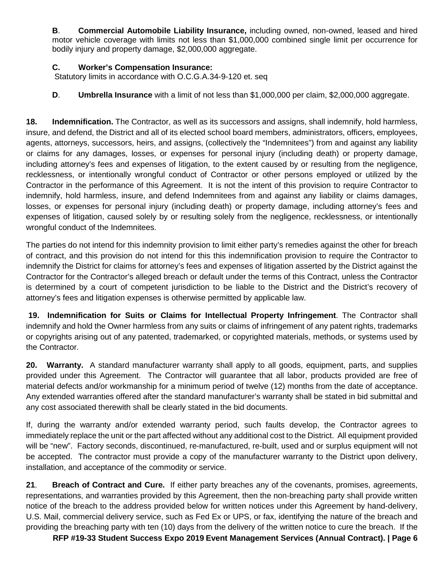**B**. **Commercial Automobile Liability Insurance,** including owned, non-owned, leased and hired motor vehicle coverage with limits not less than \$1,000,000 combined single limit per occurrence for bodily injury and property damage, \$2,000,000 aggregate.

### **C. Worker's Compensation Insurance:**

Statutory limits in accordance with O.C.G.A.34-9-120 et. seq

# **D**. **Umbrella Insurance** with a limit of not less than \$1,000,000 per claim, \$2,000,000 aggregate.

**18. Indemnification.** The Contractor, as well as its successors and assigns, shall indemnify, hold harmless, insure, and defend, the District and all of its elected school board members, administrators, officers, employees, agents, attorneys, successors, heirs, and assigns, (collectively the "Indemnitees") from and against any liability or claims for any damages, losses, or expenses for personal injury (including death) or property damage, including attorney's fees and expenses of litigation, to the extent caused by or resulting from the negligence, recklessness, or intentionally wrongful conduct of Contractor or other persons employed or utilized by the Contractor in the performance of this Agreement. It is not the intent of this provision to require Contractor to indemnify, hold harmless, insure, and defend Indemnitees from and against any liability or claims damages, losses, or expenses for personal injury (including death) or property damage, including attorney's fees and expenses of litigation, caused solely by or resulting solely from the negligence, recklessness, or intentionally wrongful conduct of the Indemnitees.

The parties do not intend for this indemnity provision to limit either party's remedies against the other for breach of contract, and this provision do not intend for this this indemnification provision to require the Contractor to indemnify the District for claims for attorney's fees and expenses of litigation asserted by the District against the Contractor for the Contractor's alleged breach or default under the terms of this Contract, unless the Contractor is determined by a court of competent jurisdiction to be liable to the District and the District's recovery of attorney's fees and litigation expenses is otherwise permitted by applicable law.

**19. Indemnification for Suits or Claims for Intellectual Property Infringement**. The Contractor shall indemnify and hold the Owner harmless from any suits or claims of infringement of any patent rights, trademarks or copyrights arising out of any patented, trademarked, or copyrighted materials, methods, or systems used by the Contractor.

**20. Warranty.** A standard manufacturer warranty shall apply to all goods, equipment, parts, and supplies provided under this Agreement. The Contractor will guarantee that all labor, products provided are free of material defects and/or workmanship for a minimum period of twelve (12) months from the date of acceptance. Any extended warranties offered after the standard manufacturer's warranty shall be stated in bid submittal and any cost associated therewith shall be clearly stated in the bid documents.

If, during the warranty and/or extended warranty period, such faults develop, the Contractor agrees to immediately replace the unit or the part affected without any additional cost to the District. All equipment provided will be "new". Factory seconds, discontinued, re-manufactured, re-built, used and or surplus equipment will not be accepted. The contractor must provide a copy of the manufacturer warranty to the District upon delivery, installation, and acceptance of the commodity or service.

**21**. **Breach of Contract and Cure.** If either party breaches any of the covenants, promises, agreements, representations, and warranties provided by this Agreement, then the non-breaching party shall provide written notice of the breach to the address provided below for written notices under this Agreement by hand-delivery, U.S. Mail, commercial delivery service, such as Fed Ex or UPS, or fax, identifying the nature of the breach and providing the breaching party with ten (10) days from the delivery of the written notice to cure the breach. If the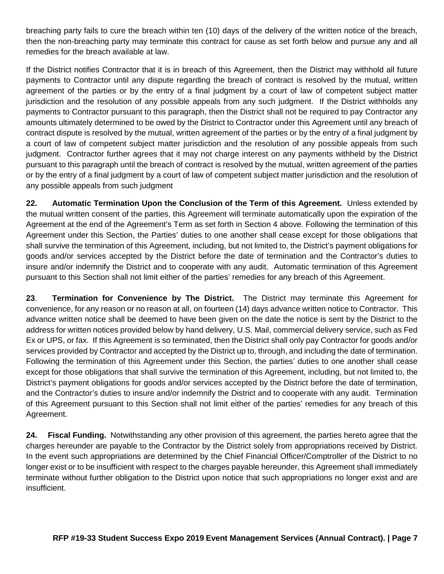breaching party fails to cure the breach within ten (10) days of the delivery of the written notice of the breach, then the non-breaching party may terminate this contract for cause as set forth below and pursue any and all remedies for the breach available at law.

If the District notifies Contractor that it is in breach of this Agreement, then the District may withhold all future payments to Contractor until any dispute regarding the breach of contract is resolved by the mutual, written agreement of the parties or by the entry of a final judgment by a court of law of competent subject matter jurisdiction and the resolution of any possible appeals from any such judgment. If the District withholds any payments to Contractor pursuant to this paragraph, then the District shall not be required to pay Contractor any amounts ultimately determined to be owed by the District to Contractor under this Agreement until any breach of contract dispute is resolved by the mutual, written agreement of the parties or by the entry of a final judgment by a court of law of competent subject matter jurisdiction and the resolution of any possible appeals from such judgment. Contractor further agrees that it may not charge interest on any payments withheld by the District pursuant to this paragraph until the breach of contract is resolved by the mutual, written agreement of the parties or by the entry of a final judgment by a court of law of competent subject matter jurisdiction and the resolution of any possible appeals from such judgment

**22. Automatic Termination Upon the Conclusion of the Term of this Agreement.** Unless extended by the mutual written consent of the parties, this Agreement will terminate automatically upon the expiration of the Agreement at the end of the Agreement's Term as set forth in Section 4 above. Following the termination of this Agreement under this Section, the Parties' duties to one another shall cease except for those obligations that shall survive the termination of this Agreement, including, but not limited to, the District's payment obligations for goods and/or services accepted by the District before the date of termination and the Contractor's duties to insure and/or indemnify the District and to cooperate with any audit. Automatic termination of this Agreement pursuant to this Section shall not limit either of the parties' remedies for any breach of this Agreement.

**23**. **Termination for Convenience by The District.** The District may terminate this Agreement for convenience, for any reason or no reason at all, on fourteen (14) days advance written notice to Contractor. This advance written notice shall be deemed to have been given on the date the notice is sent by the District to the address for written notices provided below by hand delivery, U.S. Mail, commercial delivery service, such as Fed Ex or UPS, or fax. If this Agreement is so terminated, then the District shall only pay Contractor for goods and/or services provided by Contractor and accepted by the District up to, through, and including the date of termination. Following the termination of this Agreement under this Section, the parties' duties to one another shall cease except for those obligations that shall survive the termination of this Agreement, including, but not limited to, the District's payment obligations for goods and/or services accepted by the District before the date of termination, and the Contractor's duties to insure and/or indemnify the District and to cooperate with any audit. Termination of this Agreement pursuant to this Section shall not limit either of the parties' remedies for any breach of this Agreement.

**24. Fiscal Funding.** Notwithstanding any other provision of this agreement, the parties hereto agree that the charges hereunder are payable to the Contractor by the District solely from appropriations received by District. In the event such appropriations are determined by the Chief Financial Officer/Comptroller of the District to no longer exist or to be insufficient with respect to the charges payable hereunder, this Agreement shall immediately terminate without further obligation to the District upon notice that such appropriations no longer exist and are insufficient.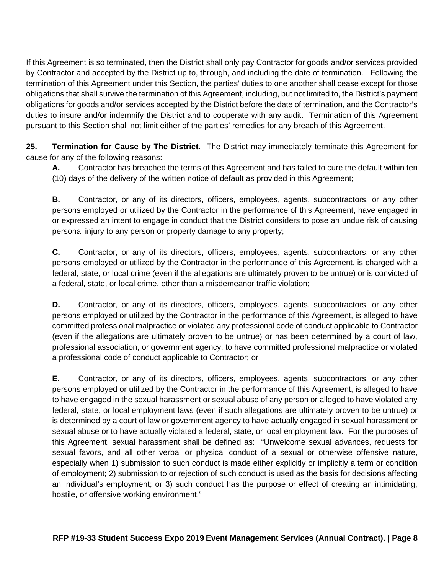If this Agreement is so terminated, then the District shall only pay Contractor for goods and/or services provided by Contractor and accepted by the District up to, through, and including the date of termination. Following the termination of this Agreement under this Section, the parties' duties to one another shall cease except for those obligations that shall survive the termination of this Agreement, including, but not limited to, the District's payment obligations for goods and/or services accepted by the District before the date of termination, and the Contractor's duties to insure and/or indemnify the District and to cooperate with any audit. Termination of this Agreement pursuant to this Section shall not limit either of the parties' remedies for any breach of this Agreement.

**25. Termination for Cause by The District.** The District may immediately terminate this Agreement for cause for any of the following reasons:

**A.** Contractor has breached the terms of this Agreement and has failed to cure the default within ten (10) days of the delivery of the written notice of default as provided in this Agreement;

**B.** Contractor, or any of its directors, officers, employees, agents, subcontractors, or any other persons employed or utilized by the Contractor in the performance of this Agreement, have engaged in or expressed an intent to engage in conduct that the District considers to pose an undue risk of causing personal injury to any person or property damage to any property;

**C.** Contractor, or any of its directors, officers, employees, agents, subcontractors, or any other persons employed or utilized by the Contractor in the performance of this Agreement, is charged with a federal, state, or local crime (even if the allegations are ultimately proven to be untrue) or is convicted of a federal, state, or local crime, other than a misdemeanor traffic violation;

**D.** Contractor, or any of its directors, officers, employees, agents, subcontractors, or any other persons employed or utilized by the Contractor in the performance of this Agreement, is alleged to have committed professional malpractice or violated any professional code of conduct applicable to Contractor (even if the allegations are ultimately proven to be untrue) or has been determined by a court of law, professional association, or government agency, to have committed professional malpractice or violated a professional code of conduct applicable to Contractor; or

**E.** Contractor, or any of its directors, officers, employees, agents, subcontractors, or any other persons employed or utilized by the Contractor in the performance of this Agreement, is alleged to have to have engaged in the sexual harassment or sexual abuse of any person or alleged to have violated any federal, state, or local employment laws (even if such allegations are ultimately proven to be untrue) or is determined by a court of law or government agency to have actually engaged in sexual harassment or sexual abuse or to have actually violated a federal, state, or local employment law. For the purposes of this Agreement, sexual harassment shall be defined as: "Unwelcome sexual advances, requests for sexual favors, and all other verbal or physical conduct of a sexual or otherwise offensive nature, especially when 1) submission to such conduct is made either explicitly or implicitly a term or condition of employment; 2) submission to or rejection of such conduct is used as the basis for decisions affecting an individual's employment; or 3) such conduct has the purpose or effect of creating an intimidating, hostile, or offensive working environment."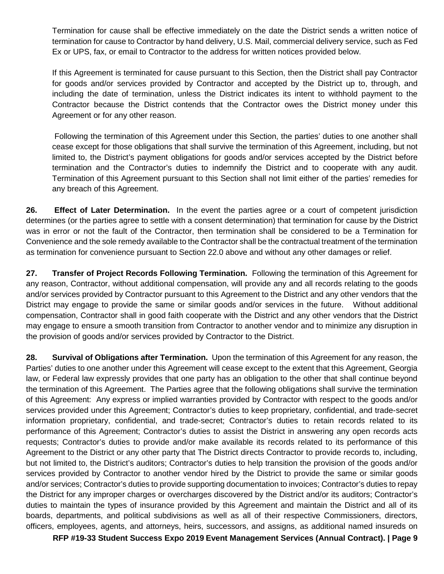Termination for cause shall be effective immediately on the date the District sends a written notice of termination for cause to Contractor by hand delivery, U.S. Mail, commercial delivery service, such as Fed Ex or UPS, fax, or email to Contractor to the address for written notices provided below.

If this Agreement is terminated for cause pursuant to this Section, then the District shall pay Contractor for goods and/or services provided by Contractor and accepted by the District up to, through, and including the date of termination, unless the District indicates its intent to withhold payment to the Contractor because the District contends that the Contractor owes the District money under this Agreement or for any other reason.

Following the termination of this Agreement under this Section, the parties' duties to one another shall cease except for those obligations that shall survive the termination of this Agreement, including, but not limited to, the District's payment obligations for goods and/or services accepted by the District before termination and the Contractor's duties to indemnify the District and to cooperate with any audit. Termination of this Agreement pursuant to this Section shall not limit either of the parties' remedies for any breach of this Agreement.

**26. Effect of Later Determination.** In the event the parties agree or a court of competent jurisdiction determines (or the parties agree to settle with a consent determination) that termination for cause by the District was in error or not the fault of the Contractor, then termination shall be considered to be a Termination for Convenience and the sole remedy available to the Contractor shall be the contractual treatment of the termination as termination for convenience pursuant to Section 22.0 above and without any other damages or relief.

**27. Transfer of Project Records Following Termination.** Following the termination of this Agreement for any reason, Contractor, without additional compensation, will provide any and all records relating to the goods and/or services provided by Contractor pursuant to this Agreement to the District and any other vendors that the District may engage to provide the same or similar goods and/or services in the future. Without additional compensation, Contractor shall in good faith cooperate with the District and any other vendors that the District may engage to ensure a smooth transition from Contractor to another vendor and to minimize any disruption in the provision of goods and/or services provided by Contractor to the District.

**28. Survival of Obligations after Termination.** Upon the termination of this Agreement for any reason, the Parties' duties to one another under this Agreement will cease except to the extent that this Agreement, Georgia law, or Federal law expressly provides that one party has an obligation to the other that shall continue beyond the termination of this Agreement. The Parties agree that the following obligations shall survive the termination of this Agreement: Any express or implied warranties provided by Contractor with respect to the goods and/or services provided under this Agreement; Contractor's duties to keep proprietary, confidential, and trade-secret information proprietary, confidential, and trade-secret; Contractor's duties to retain records related to its performance of this Agreement; Contractor's duties to assist the District in answering any open records acts requests; Contractor's duties to provide and/or make available its records related to its performance of this Agreement to the District or any other party that The District directs Contractor to provide records to, including, but not limited to, the District's auditors; Contractor's duties to help transition the provision of the goods and/or services provided by Contractor to another vendor hired by the District to provide the same or similar goods and/or services; Contractor's duties to provide supporting documentation to invoices; Contractor's duties to repay the District for any improper charges or overcharges discovered by the District and/or its auditors; Contractor's duties to maintain the types of insurance provided by this Agreement and maintain the District and all of its boards, departments, and political subdivisions as well as all of their respective Commissioners, directors, officers, employees, agents, and attorneys, heirs, successors, and assigns, as additional named insureds on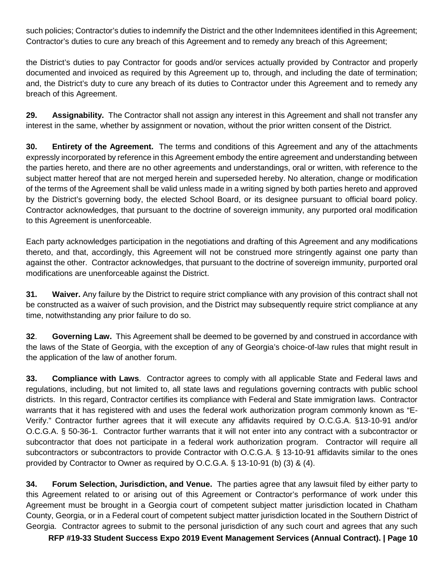such policies; Contractor's duties to indemnify the District and the other Indemnitees identified in this Agreement; Contractor's duties to cure any breach of this Agreement and to remedy any breach of this Agreement;

the District's duties to pay Contractor for goods and/or services actually provided by Contractor and properly documented and invoiced as required by this Agreement up to, through, and including the date of termination; and, the District's duty to cure any breach of its duties to Contractor under this Agreement and to remedy any breach of this Agreement.

**29. Assignability.** The Contractor shall not assign any interest in this Agreement and shall not transfer any interest in the same, whether by assignment or novation, without the prior written consent of the District.

**30. Entirety of the Agreement.** The terms and conditions of this Agreement and any of the attachments expressly incorporated by reference in this Agreement embody the entire agreement and understanding between the parties hereto, and there are no other agreements and understandings, oral or written, with reference to the subject matter hereof that are not merged herein and superseded hereby. No alteration, change or modification of the terms of the Agreement shall be valid unless made in a writing signed by both parties hereto and approved by the District's governing body, the elected School Board, or its designee pursuant to official board policy. Contractor acknowledges, that pursuant to the doctrine of sovereign immunity, any purported oral modification to this Agreement is unenforceable.

Each party acknowledges participation in the negotiations and drafting of this Agreement and any modifications thereto, and that, accordingly, this Agreement will not be construed more stringently against one party than against the other. Contractor acknowledges, that pursuant to the doctrine of sovereign immunity, purported oral modifications are unenforceable against the District.

**31. Waiver.** Any failure by the District to require strict compliance with any provision of this contract shall not be constructed as a waiver of such provision, and the District may subsequently require strict compliance at any time, notwithstanding any prior failure to do so.

**32**. **Governing Law.** This Agreement shall be deemed to be governed by and construed in accordance with the laws of the State of Georgia, with the exception of any of Georgia's choice-of-law rules that might result in the application of the law of another forum.

**33. Compliance with Laws**. Contractor agrees to comply with all applicable State and Federal laws and regulations, including, but not limited to, all state laws and regulations governing contracts with public school districts. In this regard, Contractor certifies its compliance with Federal and State immigration laws. Contractor warrants that it has registered with and uses the federal work authorization program commonly known as "E-Verify." Contractor further agrees that it will execute any affidavits required by O.C.G.A. §13-10-91 and/or O.C.G.A. § 50-36-1. Contractor further warrants that it will not enter into any contract with a subcontractor or subcontractor that does not participate in a federal work authorization program. Contractor will require all subcontractors or subcontractors to provide Contractor with O.C.G.A. § 13-10-91 affidavits similar to the ones provided by Contractor to Owner as required by O.C.G.A. § 13-10-91 (b) (3) & (4).

**34. Forum Selection, Jurisdiction, and Venue.** The parties agree that any lawsuit filed by either party to this Agreement related to or arising out of this Agreement or Contractor's performance of work under this Agreement must be brought in a Georgia court of competent subject matter jurisdiction located in Chatham County, Georgia, or in a Federal court of competent subject matter jurisdiction located in the Southern District of Georgia. Contractor agrees to submit to the personal jurisdiction of any such court and agrees that any such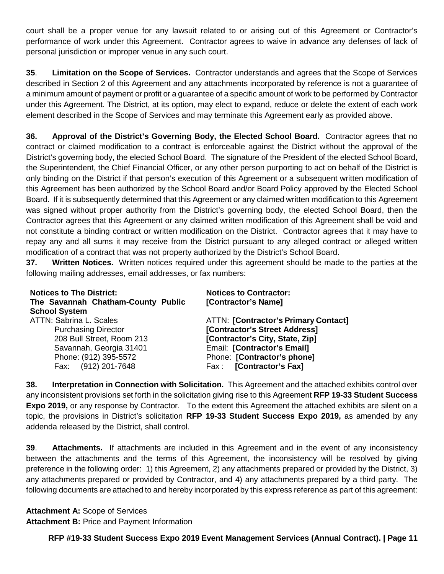court shall be a proper venue for any lawsuit related to or arising out of this Agreement or Contractor's performance of work under this Agreement. Contractor agrees to waive in advance any defenses of lack of personal jurisdiction or improper venue in any such court.

**35**. **Limitation on the Scope of Services.** Contractor understands and agrees that the Scope of Services described in Section 2 of this Agreement and any attachments incorporated by reference is not a guarantee of a minimum amount of payment or profit or a guarantee of a specific amount of work to be performed by Contractor under this Agreement. The District, at its option, may elect to expand, reduce or delete the extent of each work element described in the Scope of Services and may terminate this Agreement early as provided above.

**36. Approval of the District's Governing Body, the Elected School Board.** Contractor agrees that no contract or claimed modification to a contract is enforceable against the District without the approval of the District's governing body, the elected School Board. The signature of the President of the elected School Board, the Superintendent, the Chief Financial Officer, or any other person purporting to act on behalf of the District is only binding on the District if that person's execution of this Agreement or a subsequent written modification of this Agreement has been authorized by the School Board and/or Board Policy approved by the Elected School Board. If it is subsequently determined that this Agreement or any claimed written modification to this Agreement was signed without proper authority from the District's governing body, the elected School Board, then the Contractor agrees that this Agreement or any claimed written modification of this Agreement shall be void and not constitute a binding contract or written modification on the District. Contractor agrees that it may have to repay any and all sums it may receive from the District pursuant to any alleged contract or alleged written modification of a contract that was not property authorized by the District's School Board.

**37. Written Notices.** Written notices required under this agreement should be made to the parties at the following mailing addresses, email addresses, or fax numbers:

| <b>Notices to The District:</b><br>The Savannah Chatham-County Public<br><b>School System</b> | <b>Notices to Contractor:</b><br>[Contractor's Name] |
|-----------------------------------------------------------------------------------------------|------------------------------------------------------|
| <b>ATTN: Sabrina L. Scales</b>                                                                | <b>ATTN: [Contractor's Primary Contact]</b>          |
| <b>Purchasing Director</b>                                                                    | [Contractor's Street Address]                        |
| 208 Bull Street, Room 213                                                                     | [Contractor's City, State, Zip]                      |
| Savannah, Georgia 31401                                                                       | Email: [Contractor's Email]                          |
| Phone: (912) 395-5572                                                                         | Phone: [Contractor's phone]                          |
| Fax: (912) 201-7648                                                                           | Fax: [Contractor's Fax]                              |

**38. Interpretation in Connection with Solicitation.** This Agreement and the attached exhibits control over any inconsistent provisions set forth in the solicitation giving rise to this Agreement **RFP 19-33 Student Success Expo 2019,** or any response by Contractor. To the extent this Agreement the attached exhibits are silent on a topic, the provisions in District's solicitation **RFP 19-33 Student Success Expo 2019,** as amended by any addenda released by the District, shall control.

**39**. **Attachments.** If attachments are included in this Agreement and in the event of any inconsistency between the attachments and the terms of this Agreement, the inconsistency will be resolved by giving preference in the following order: 1) this Agreement, 2) any attachments prepared or provided by the District, 3) any attachments prepared or provided by Contractor, and 4) any attachments prepared by a third party. The following documents are attached to and hereby incorporated by this express reference as part of this agreement:

**Attachment A:** Scope of Services **Attachment B:** Price and Payment Information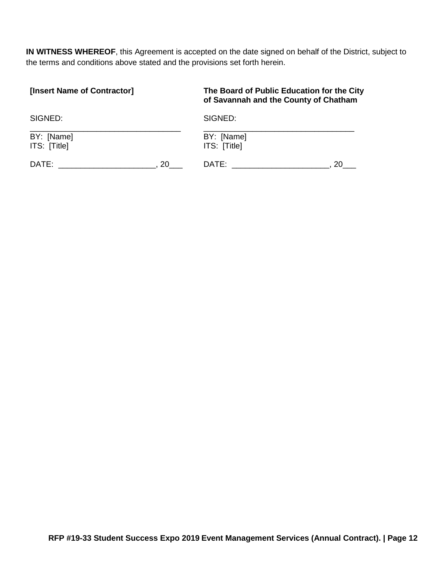**IN WITNESS WHEREOF**, this Agreement is accepted on the date signed on behalf of the District, subject to the terms and conditions above stated and the provisions set forth herein.

| [Insert Name of Contractor] | The Board of Public Education for the City<br>of Savannah and the County of Chatham |
|-----------------------------|-------------------------------------------------------------------------------------|
| SIGNED:                     | SIGNED:                                                                             |
| BY: [Name]                  | BY: [Name]                                                                          |
| ITS: [Title]                | ITS: [Title]                                                                        |
| DATE:                       | 20                                                                                  |
| 20                          | DATE:                                                                               |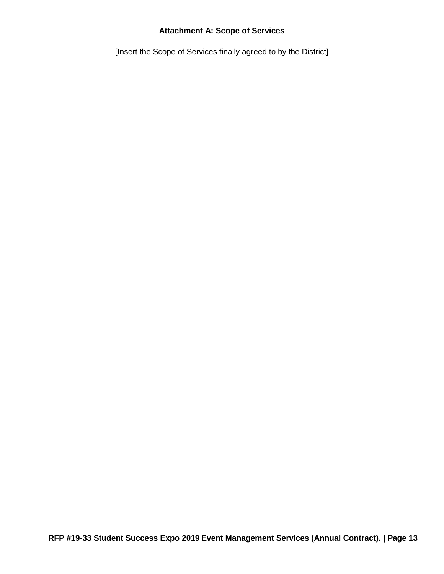### **Attachment A: Scope of Services**

[Insert the Scope of Services finally agreed to by the District]